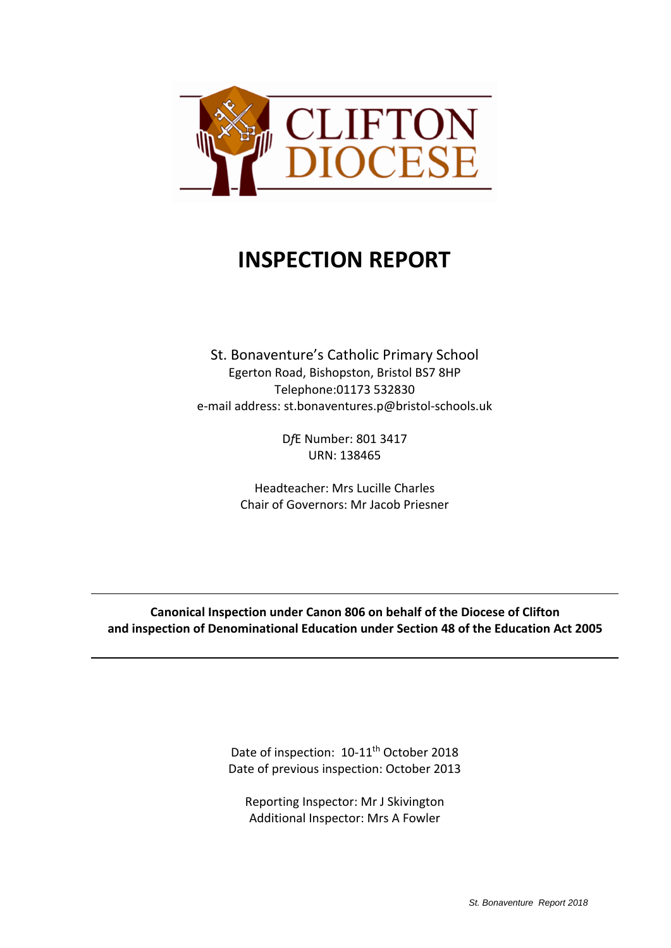

# **INSPECTION REPORT**

St. Bonaventure's Catholic Primary School Egerton Road, Bishopston, Bristol BS7 8HP Telephone:01173 532830 e‐mail address: st.bonaventures.p@bristol‐schools.uk

> D*f*E Number: 801 3417 URN: 138465

Headteacher: Mrs Lucille Charles Chair of Governors: Mr Jacob Priesner

**Canonical Inspection under Canon 806 on behalf of the Diocese of Clifton and inspection of Denominational Education under Section 48 of the Education Act 2005**

> Date of inspection: 10-11<sup>th</sup> October 2018 Date of previous inspection: October 2013

Reporting Inspector: Mr J Skivington Additional Inspector: Mrs A Fowler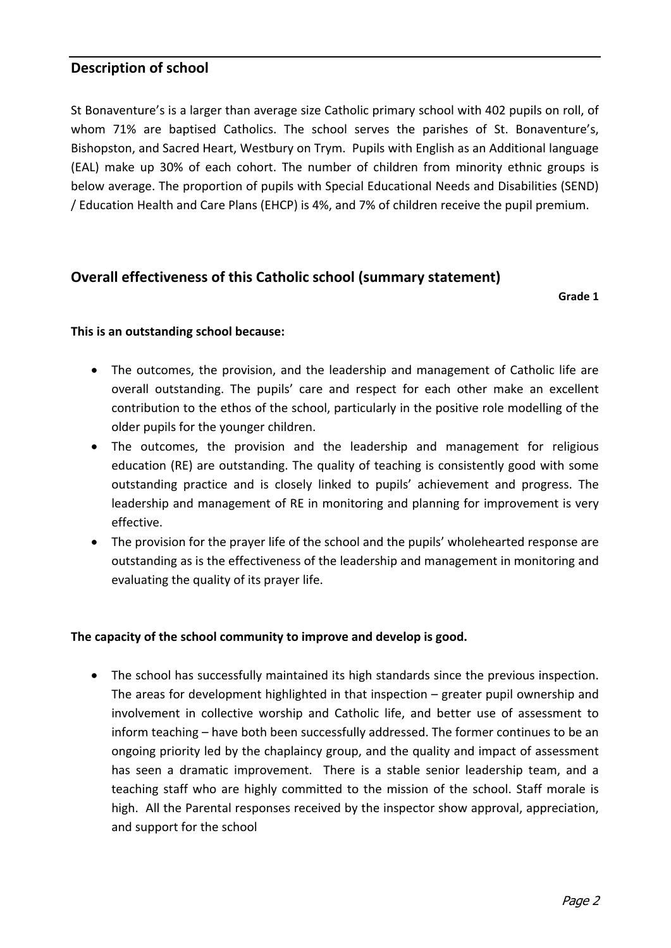### **Description of school**

St Bonaventure's is a larger than average size Catholic primary school with 402 pupils on roll, of whom 71% are baptised Catholics. The school serves the parishes of St. Bonaventure's, Bishopston, and Sacred Heart, Westbury on Trym. Pupils with English as an Additional language (EAL) make up 30% of each cohort. The number of children from minority ethnic groups is below average. The proportion of pupils with Special Educational Needs and Disabilities (SEND) / Education Health and Care Plans (EHCP) is 4%, and 7% of children receive the pupil premium.

### **Overall effectiveness of this Catholic school (summary statement)**

**Grade 1** 

#### **This is an outstanding school because:**

- The outcomes, the provision, and the leadership and management of Catholic life are overall outstanding. The pupils' care and respect for each other make an excellent contribution to the ethos of the school, particularly in the positive role modelling of the older pupils for the younger children.
- The outcomes, the provision and the leadership and management for religious education (RE) are outstanding. The quality of teaching is consistently good with some outstanding practice and is closely linked to pupils' achievement and progress. The leadership and management of RE in monitoring and planning for improvement is very effective.
- The provision for the prayer life of the school and the pupils' wholehearted response are outstanding as is the effectiveness of the leadership and management in monitoring and evaluating the quality of its prayer life.

#### **The capacity of the school community to improve and develop is good.**

 The school has successfully maintained its high standards since the previous inspection. The areas for development highlighted in that inspection – greater pupil ownership and involvement in collective worship and Catholic life, and better use of assessment to inform teaching – have both been successfully addressed. The former continues to be an ongoing priority led by the chaplaincy group, and the quality and impact of assessment has seen a dramatic improvement. There is a stable senior leadership team, and a teaching staff who are highly committed to the mission of the school. Staff morale is high. All the Parental responses received by the inspector show approval, appreciation, and support for the school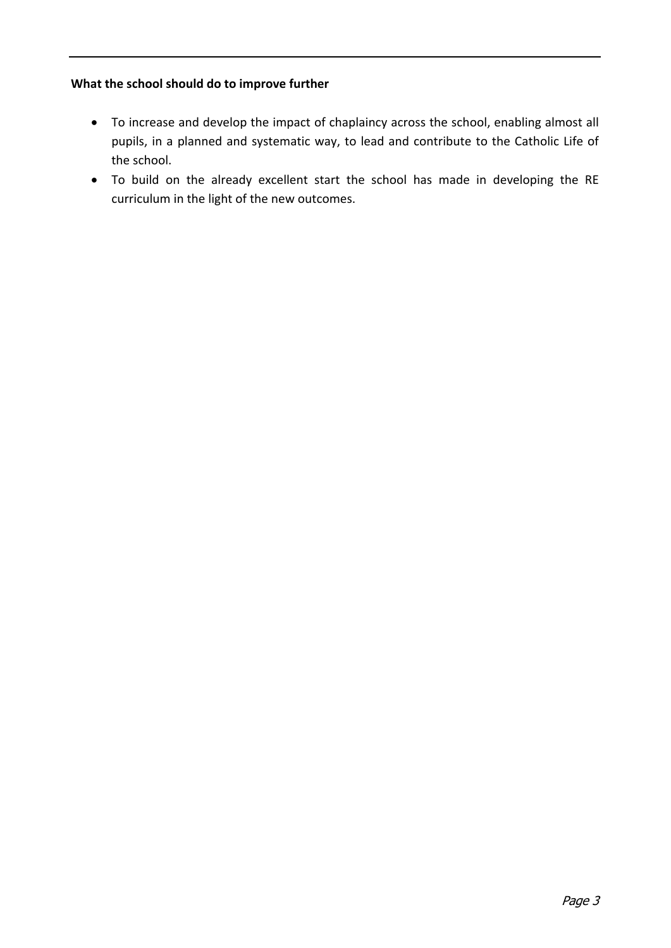### **What the school should do to improve further**

- To increase and develop the impact of chaplaincy across the school, enabling almost all pupils, in a planned and systematic way, to lead and contribute to the Catholic Life of the school.
- To build on the already excellent start the school has made in developing the RE curriculum in the light of the new outcomes.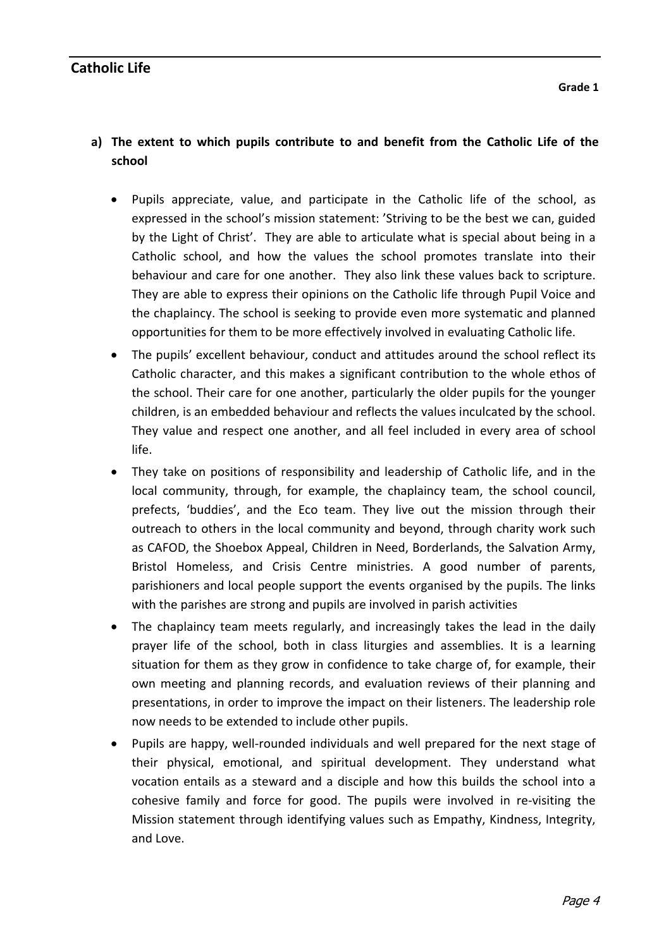# **a) The extent to which pupils contribute to and benefit from the Catholic Life of the school**

- Pupils appreciate, value, and participate in the Catholic life of the school, as expressed in the school's mission statement: 'Striving to be the best we can, guided by the Light of Christ'. They are able to articulate what is special about being in a Catholic school, and how the values the school promotes translate into their behaviour and care for one another. They also link these values back to scripture. They are able to express their opinions on the Catholic life through Pupil Voice and the chaplaincy. The school is seeking to provide even more systematic and planned opportunities for them to be more effectively involved in evaluating Catholic life.
- The pupils' excellent behaviour, conduct and attitudes around the school reflect its Catholic character, and this makes a significant contribution to the whole ethos of the school. Their care for one another, particularly the older pupils for the younger children, is an embedded behaviour and reflects the values inculcated by the school. They value and respect one another, and all feel included in every area of school life.
- They take on positions of responsibility and leadership of Catholic life, and in the local community, through, for example, the chaplaincy team, the school council, prefects, 'buddies', and the Eco team. They live out the mission through their outreach to others in the local community and beyond, through charity work such as CAFOD, the Shoebox Appeal, Children in Need, Borderlands, the Salvation Army, Bristol Homeless, and Crisis Centre ministries. A good number of parents, parishioners and local people support the events organised by the pupils. The links with the parishes are strong and pupils are involved in parish activities
- The chaplaincy team meets regularly, and increasingly takes the lead in the daily prayer life of the school, both in class liturgies and assemblies. It is a learning situation for them as they grow in confidence to take charge of, for example, their own meeting and planning records, and evaluation reviews of their planning and presentations, in order to improve the impact on their listeners. The leadership role now needs to be extended to include other pupils.
- Pupils are happy, well‐rounded individuals and well prepared for the next stage of their physical, emotional, and spiritual development. They understand what vocation entails as a steward and a disciple and how this builds the school into a cohesive family and force for good. The pupils were involved in re-visiting the Mission statement through identifying values such as Empathy, Kindness, Integrity, and Love.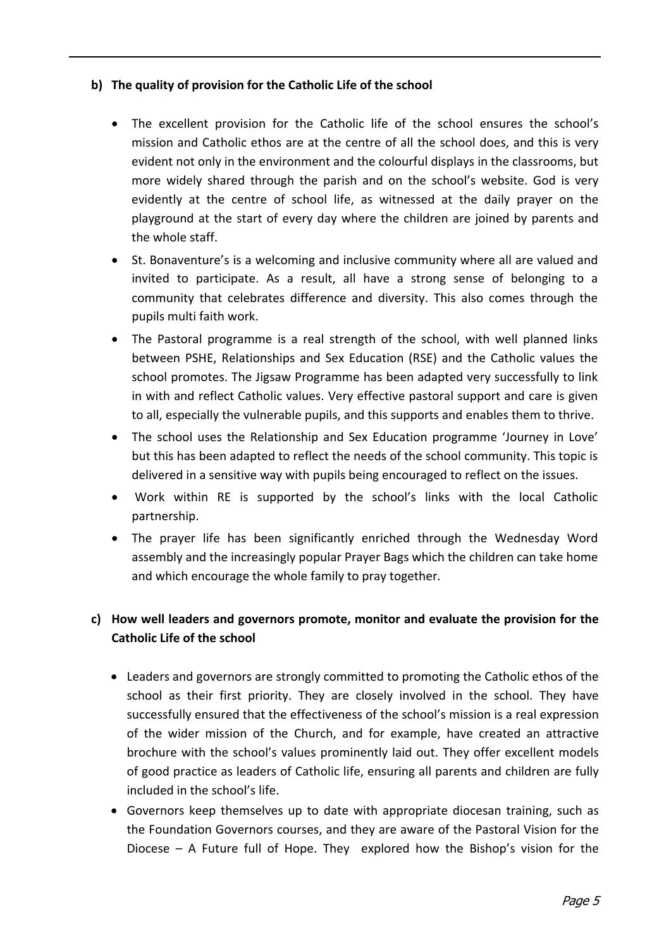### **b) The quality of provision for the Catholic Life of the school**

- The excellent provision for the Catholic life of the school ensures the school's mission and Catholic ethos are at the centre of all the school does, and this is very evident not only in the environment and the colourful displays in the classrooms, but more widely shared through the parish and on the school's website. God is very evidently at the centre of school life, as witnessed at the daily prayer on the playground at the start of every day where the children are joined by parents and the whole staff.
- St. Bonaventure's is a welcoming and inclusive community where all are valued and invited to participate. As a result, all have a strong sense of belonging to a community that celebrates difference and diversity. This also comes through the pupils multi faith work.
- The Pastoral programme is a real strength of the school, with well planned links between PSHE, Relationships and Sex Education (RSE) and the Catholic values the school promotes. The Jigsaw Programme has been adapted very successfully to link in with and reflect Catholic values. Very effective pastoral support and care is given to all, especially the vulnerable pupils, and this supports and enables them to thrive.
- The school uses the Relationship and Sex Education programme 'Journey in Love' but this has been adapted to reflect the needs of the school community. This topic is delivered in a sensitive way with pupils being encouraged to reflect on the issues.
- Work within RE is supported by the school's links with the local Catholic partnership.
- The prayer life has been significantly enriched through the Wednesday Word assembly and the increasingly popular Prayer Bags which the children can take home and which encourage the whole family to pray together.

# **c) How well leaders and governors promote, monitor and evaluate the provision for the Catholic Life of the school**

- Leaders and governors are strongly committed to promoting the Catholic ethos of the school as their first priority. They are closely involved in the school. They have successfully ensured that the effectiveness of the school's mission is a real expression of the wider mission of the Church, and for example, have created an attractive brochure with the school's values prominently laid out. They offer excellent models of good practice as leaders of Catholic life, ensuring all parents and children are fully included in the school's life.
- Governors keep themselves up to date with appropriate diocesan training, such as the Foundation Governors courses, and they are aware of the Pastoral Vision for the Diocese - A Future full of Hope. They explored how the Bishop's vision for the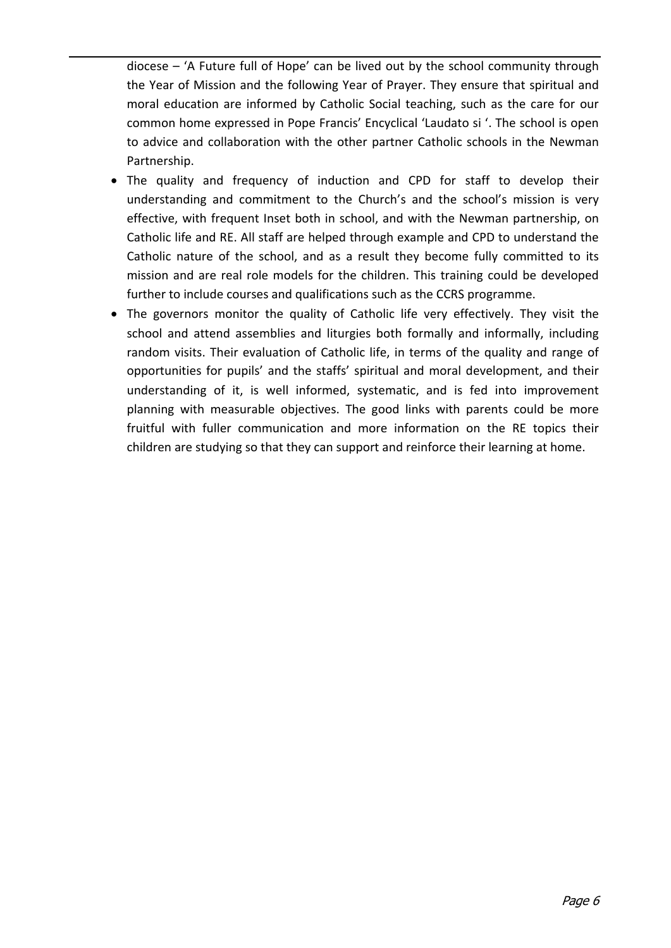diocese – 'A Future full of Hope' can be lived out by the school community through the Year of Mission and the following Year of Prayer. They ensure that spiritual and moral education are informed by Catholic Social teaching, such as the care for our common home expressed in Pope Francis' Encyclical 'Laudato si '. The school is open to advice and collaboration with the other partner Catholic schools in the Newman Partnership.

- The quality and frequency of induction and CPD for staff to develop their understanding and commitment to the Church's and the school's mission is very effective, with frequent Inset both in school, and with the Newman partnership, on Catholic life and RE. All staff are helped through example and CPD to understand the Catholic nature of the school, and as a result they become fully committed to its mission and are real role models for the children. This training could be developed further to include courses and qualifications such as the CCRS programme.
- The governors monitor the quality of Catholic life very effectively. They visit the school and attend assemblies and liturgies both formally and informally, including random visits. Their evaluation of Catholic life, in terms of the quality and range of opportunities for pupils' and the staffs' spiritual and moral development, and their understanding of it, is well informed, systematic, and is fed into improvement planning with measurable objectives. The good links with parents could be more fruitful with fuller communication and more information on the RE topics their children are studying so that they can support and reinforce their learning at home.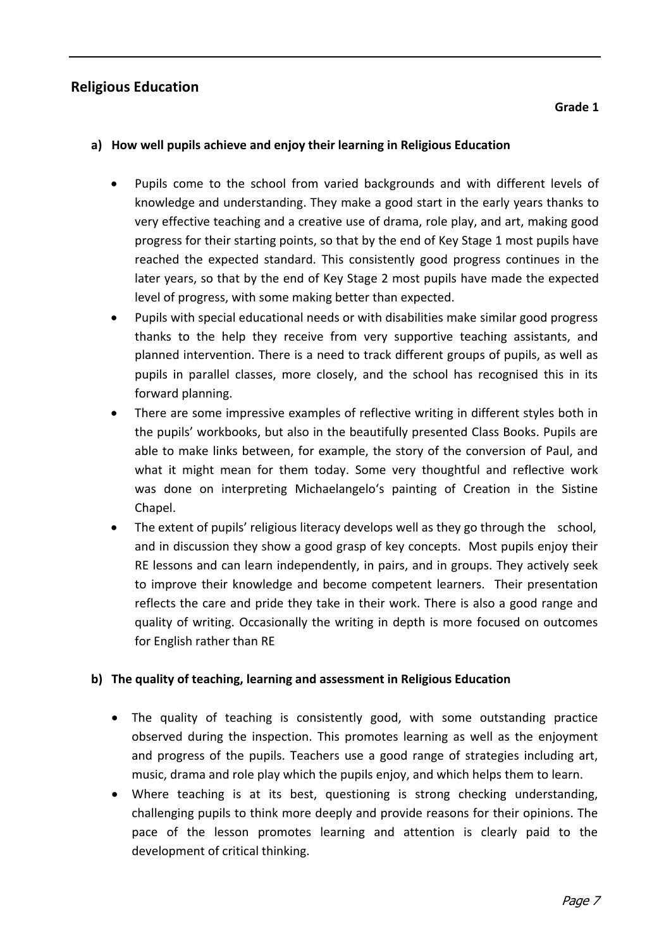# **Religious Education**

#### **a) How well pupils achieve and enjoy their learning in Religious Education**

- Pupils come to the school from varied backgrounds and with different levels of knowledge and understanding. They make a good start in the early years thanks to very effective teaching and a creative use of drama, role play, and art, making good progress for their starting points, so that by the end of Key Stage 1 most pupils have reached the expected standard. This consistently good progress continues in the later years, so that by the end of Key Stage 2 most pupils have made the expected level of progress, with some making better than expected.
- Pupils with special educational needs or with disabilities make similar good progress thanks to the help they receive from very supportive teaching assistants, and planned intervention. There is a need to track different groups of pupils, as well as pupils in parallel classes, more closely, and the school has recognised this in its forward planning.
- There are some impressive examples of reflective writing in different styles both in the pupils' workbooks, but also in the beautifully presented Class Books. Pupils are able to make links between, for example, the story of the conversion of Paul, and what it might mean for them today. Some very thoughtful and reflective work was done on interpreting Michaelangelo's painting of Creation in the Sistine Chapel.
- The extent of pupils' religious literacy develops well as they go through the school, and in discussion they show a good grasp of key concepts. Most pupils enjoy their RE lessons and can learn independently, in pairs, and in groups. They actively seek to improve their knowledge and become competent learners. Their presentation reflects the care and pride they take in their work. There is also a good range and quality of writing. Occasionally the writing in depth is more focused on outcomes for English rather than RE

### **b) The quality of teaching, learning and assessment in Religious Education**

- The quality of teaching is consistently good, with some outstanding practice observed during the inspection. This promotes learning as well as the enjoyment and progress of the pupils. Teachers use a good range of strategies including art, music, drama and role play which the pupils enjoy, and which helps them to learn.
- Where teaching is at its best, questioning is strong checking understanding, challenging pupils to think more deeply and provide reasons for their opinions. The pace of the lesson promotes learning and attention is clearly paid to the development of critical thinking.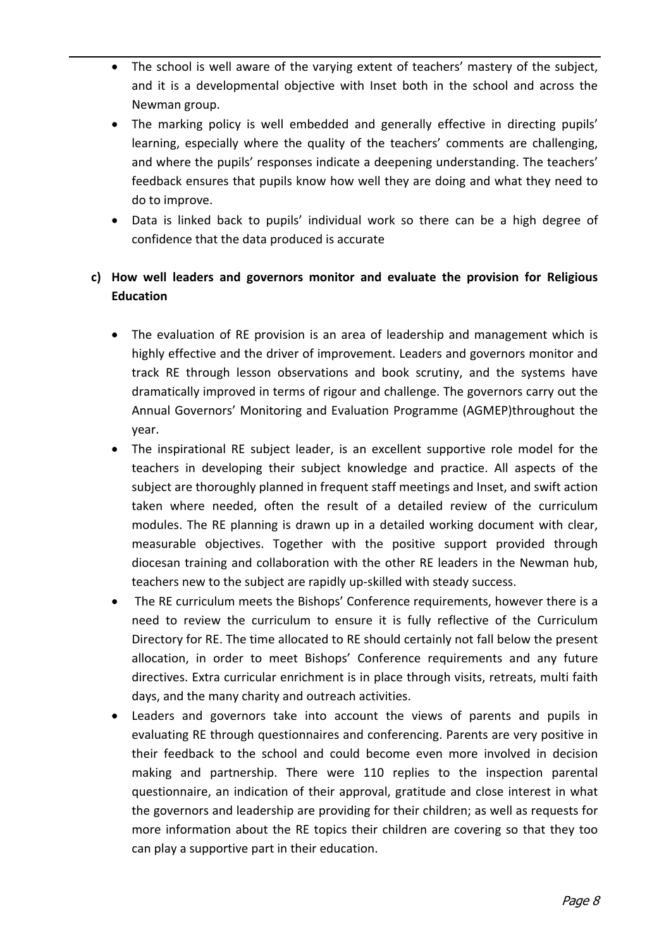- The school is well aware of the varying extent of teachers' mastery of the subject, and it is a developmental objective with Inset both in the school and across the Newman group.
- The marking policy is well embedded and generally effective in directing pupils' learning, especially where the quality of the teachers' comments are challenging, and where the pupils' responses indicate a deepening understanding. The teachers' feedback ensures that pupils know how well they are doing and what they need to do to improve.
- Data is linked back to pupils' individual work so there can be a high degree of confidence that the data produced is accurate

## **c) How well leaders and governors monitor and evaluate the provision for Religious Education**

- The evaluation of RE provision is an area of leadership and management which is highly effective and the driver of improvement. Leaders and governors monitor and track RE through lesson observations and book scrutiny, and the systems have dramatically improved in terms of rigour and challenge. The governors carry out the Annual Governors' Monitoring and Evaluation Programme (AGMEP)throughout the year.
- The inspirational RE subject leader, is an excellent supportive role model for the teachers in developing their subject knowledge and practice. All aspects of the subject are thoroughly planned in frequent staff meetings and Inset, and swift action taken where needed, often the result of a detailed review of the curriculum modules. The RE planning is drawn up in a detailed working document with clear, measurable objectives. Together with the positive support provided through diocesan training and collaboration with the other RE leaders in the Newman hub, teachers new to the subject are rapidly up‐skilled with steady success.
- The RE curriculum meets the Bishops' Conference requirements, however there is a need to review the curriculum to ensure it is fully reflective of the Curriculum Directory for RE. The time allocated to RE should certainly not fall below the present allocation, in order to meet Bishops' Conference requirements and any future directives. Extra curricular enrichment is in place through visits, retreats, multi faith days, and the many charity and outreach activities.
- Leaders and governors take into account the views of parents and pupils in evaluating RE through questionnaires and conferencing. Parents are very positive in their feedback to the school and could become even more involved in decision making and partnership. There were 110 replies to the inspection parental questionnaire, an indication of their approval, gratitude and close interest in what the governors and leadership are providing for their children; as well as requests for more information about the RE topics their children are covering so that they too can play a supportive part in their education.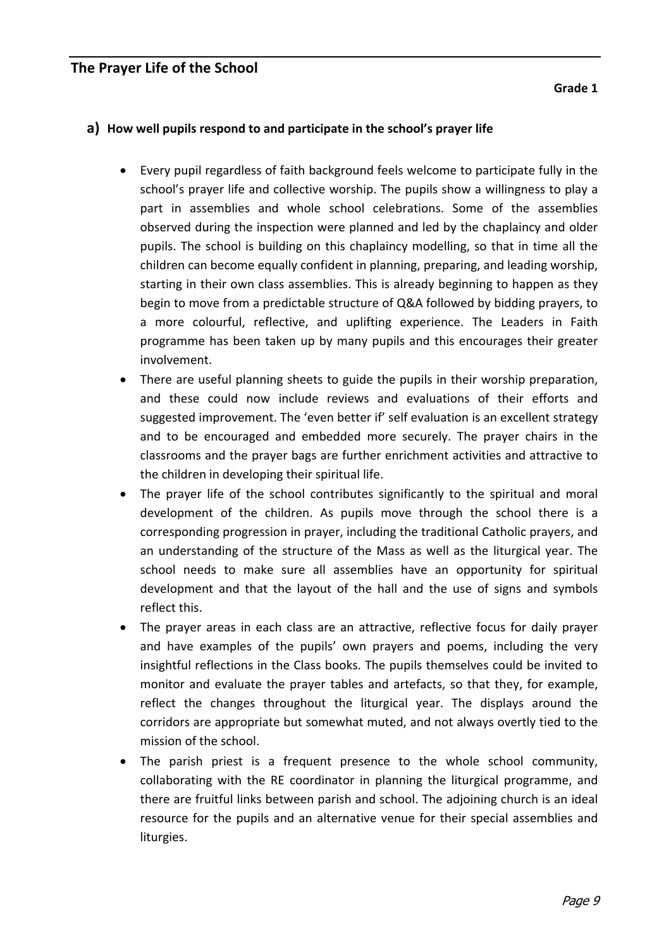### **The Prayer Life of the School**

**Grade 1** 

#### **a) How well pupils respond to and participate in the school's prayer life**

- Every pupil regardless of faith background feels welcome to participate fully in the school's prayer life and collective worship. The pupils show a willingness to play a part in assemblies and whole school celebrations. Some of the assemblies observed during the inspection were planned and led by the chaplaincy and older pupils. The school is building on this chaplaincy modelling, so that in time all the children can become equally confident in planning, preparing, and leading worship, starting in their own class assemblies. This is already beginning to happen as they begin to move from a predictable structure of Q&A followed by bidding prayers, to a more colourful, reflective, and uplifting experience. The Leaders in Faith programme has been taken up by many pupils and this encourages their greater involvement.
- There are useful planning sheets to guide the pupils in their worship preparation, and these could now include reviews and evaluations of their efforts and suggested improvement. The 'even better if' self evaluation is an excellent strategy and to be encouraged and embedded more securely. The prayer chairs in the classrooms and the prayer bags are further enrichment activities and attractive to the children in developing their spiritual life.
- The prayer life of the school contributes significantly to the spiritual and moral development of the children. As pupils move through the school there is a corresponding progression in prayer, including the traditional Catholic prayers, and an understanding of the structure of the Mass as well as the liturgical year. The school needs to make sure all assemblies have an opportunity for spiritual development and that the layout of the hall and the use of signs and symbols reflect this.
- The prayer areas in each class are an attractive, reflective focus for daily prayer and have examples of the pupils' own prayers and poems, including the very insightful reflections in the Class books. The pupils themselves could be invited to monitor and evaluate the prayer tables and artefacts, so that they, for example, reflect the changes throughout the liturgical year. The displays around the corridors are appropriate but somewhat muted, and not always overtly tied to the mission of the school.
- The parish priest is a frequent presence to the whole school community, collaborating with the RE coordinator in planning the liturgical programme, and there are fruitful links between parish and school. The adjoining church is an ideal resource for the pupils and an alternative venue for their special assemblies and liturgies.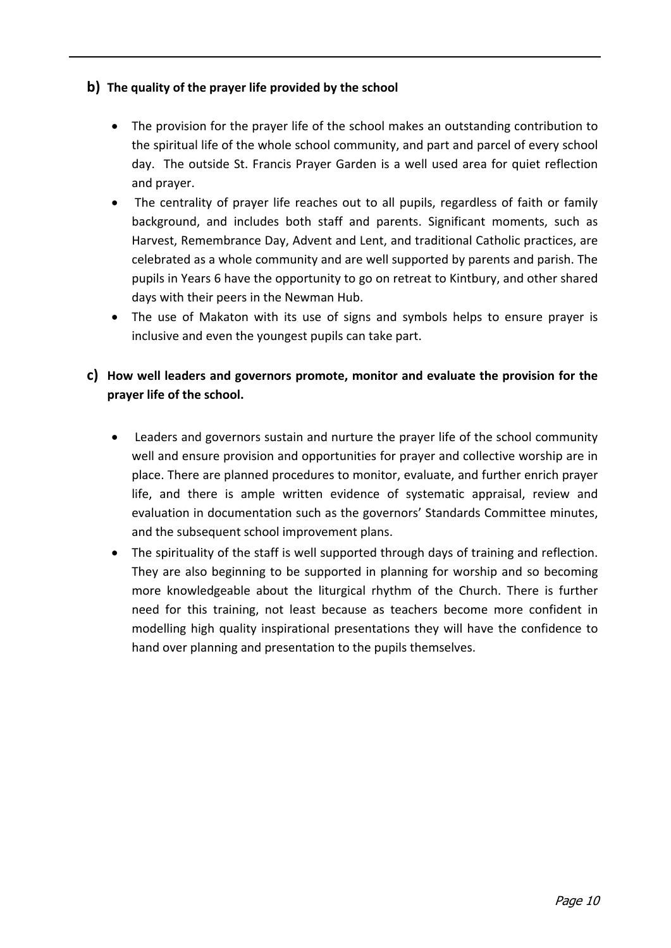### **b) The quality of the prayer life provided by the school**

- The provision for the prayer life of the school makes an outstanding contribution to the spiritual life of the whole school community, and part and parcel of every school day. The outside St. Francis Prayer Garden is a well used area for quiet reflection and prayer.
- The centrality of prayer life reaches out to all pupils, regardless of faith or family background, and includes both staff and parents. Significant moments, such as Harvest, Remembrance Day, Advent and Lent, and traditional Catholic practices, are celebrated as a whole community and are well supported by parents and parish. The pupils in Years 6 have the opportunity to go on retreat to Kintbury, and other shared days with their peers in the Newman Hub.
- The use of Makaton with its use of signs and symbols helps to ensure prayer is inclusive and even the youngest pupils can take part.

### **c) How well leaders and governors promote, monitor and evaluate the provision for the prayer life of the school.**

- Leaders and governors sustain and nurture the prayer life of the school community well and ensure provision and opportunities for prayer and collective worship are in place. There are planned procedures to monitor, evaluate, and further enrich prayer life, and there is ample written evidence of systematic appraisal, review and evaluation in documentation such as the governors' Standards Committee minutes, and the subsequent school improvement plans.
- The spirituality of the staff is well supported through days of training and reflection. They are also beginning to be supported in planning for worship and so becoming more knowledgeable about the liturgical rhythm of the Church. There is further need for this training, not least because as teachers become more confident in modelling high quality inspirational presentations they will have the confidence to hand over planning and presentation to the pupils themselves.